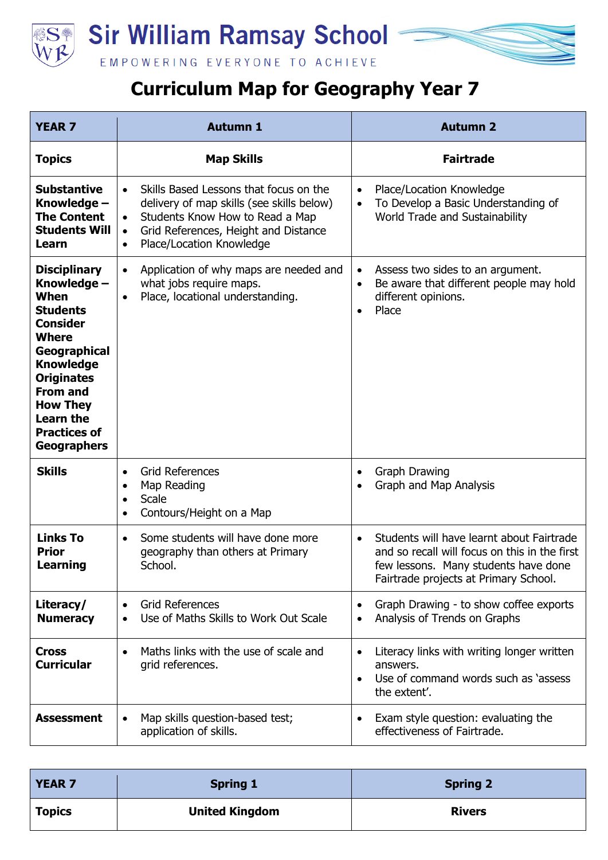



## **Curriculum Map for Geography Year 7**

| <b>YEAR 7</b>                                                                                                                                                                                                                                                    | <b>Autumn 1</b>                                                                                                                                                                                                                                | <b>Autumn 2</b>                                                                                                                                                                          |
|------------------------------------------------------------------------------------------------------------------------------------------------------------------------------------------------------------------------------------------------------------------|------------------------------------------------------------------------------------------------------------------------------------------------------------------------------------------------------------------------------------------------|------------------------------------------------------------------------------------------------------------------------------------------------------------------------------------------|
| <b>Topics</b>                                                                                                                                                                                                                                                    | <b>Map Skills</b>                                                                                                                                                                                                                              | <b>Fairtrade</b>                                                                                                                                                                         |
| <b>Substantive</b><br>Knowledge -<br><b>The Content</b><br><b>Students Will</b><br>Learn                                                                                                                                                                         | Skills Based Lessons that focus on the<br>$\bullet$<br>delivery of map skills (see skills below)<br>Students Know How to Read a Map<br>$\bullet$<br>Grid References, Height and Distance<br>$\bullet$<br>Place/Location Knowledge<br>$\bullet$ | Place/Location Knowledge<br>$\bullet$<br>To Develop a Basic Understanding of<br>$\bullet$<br>World Trade and Sustainability                                                              |
| <b>Disciplinary</b><br>Knowledge –<br>When<br><b>Students</b><br><b>Consider</b><br><b>Where</b><br>Geographical<br><b>Knowledge</b><br><b>Originates</b><br><b>From and</b><br><b>How They</b><br><b>Learn the</b><br><b>Practices of</b><br><b>Geographers</b> | Application of why maps are needed and<br>$\bullet$<br>what jobs require maps.<br>Place, locational understanding.<br>$\bullet$                                                                                                                | Assess two sides to an argument.<br>$\bullet$<br>Be aware that different people may hold<br>$\bullet$<br>different opinions.<br>Place<br>$\bullet$                                       |
| <b>Skills</b>                                                                                                                                                                                                                                                    | <b>Grid References</b><br>$\bullet$<br>Map Reading<br>$\bullet$<br>Scale<br>$\bullet$<br>Contours/Height on a Map<br>$\bullet$                                                                                                                 | <b>Graph Drawing</b><br>$\bullet$<br>Graph and Map Analysis                                                                                                                              |
| <b>Links To</b><br><b>Prior</b><br><b>Learning</b>                                                                                                                                                                                                               | Some students will have done more<br>$\bullet$<br>geography than others at Primary<br>School.                                                                                                                                                  | Students will have learnt about Fairtrade<br>$\bullet$<br>and so recall will focus on this in the first<br>few lessons. Many students have done<br>Fairtrade projects at Primary School. |
| Literacy/<br><b>Numeracy</b>                                                                                                                                                                                                                                     | <b>Grid References</b><br>Use of Maths Skills to Work Out Scale                                                                                                                                                                                | Graph Drawing - to show coffee exports<br>$\bullet$<br>Analysis of Trends on Graphs                                                                                                      |
| Cross<br><b>Curricular</b>                                                                                                                                                                                                                                       | Maths links with the use of scale and<br>grid references.                                                                                                                                                                                      | Literacy links with writing longer written<br>$\bullet$<br>answers.<br>Use of command words such as 'assess<br>$\bullet$<br>the extent'.                                                 |
| <b>Assessment</b>                                                                                                                                                                                                                                                | Map skills question-based test;<br>application of skills.                                                                                                                                                                                      | Exam style question: evaluating the<br>$\bullet$<br>effectiveness of Fairtrade.                                                                                                          |

| <b>YEAR 7</b> | <b>Spring 1</b>       | <b>Spring 2</b> |
|---------------|-----------------------|-----------------|
| <b>Topics</b> | <b>United Kingdom</b> | <b>Rivers</b>   |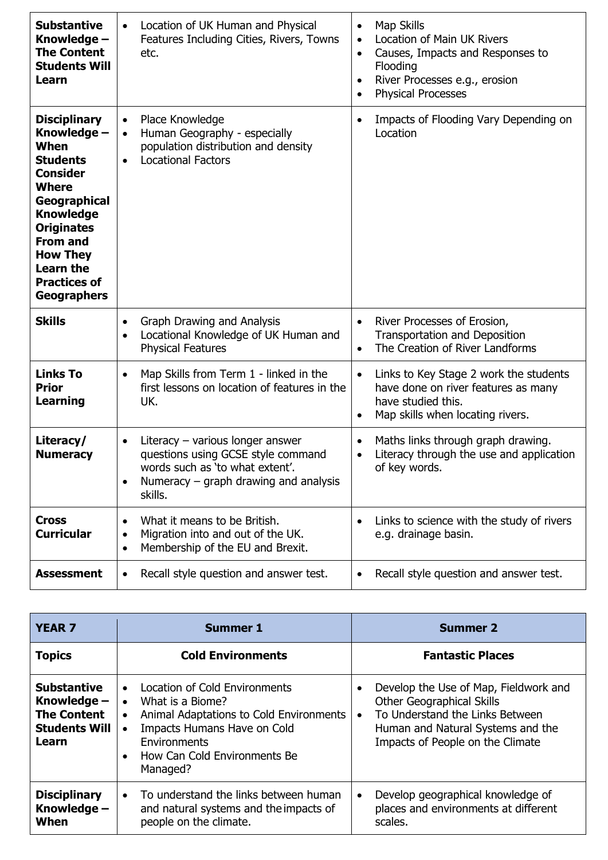| <b>Substantive</b><br>Knowledge -<br><b>The Content</b><br><b>Students Will</b><br>Learn                                                                                                                                                                  | Location of UK Human and Physical<br>Features Including Cities, Rivers, Towns<br>etc.                                                                                                     | Map Skills<br>$\bullet$<br>Location of Main UK Rivers<br>$\bullet$<br>Causes, Impacts and Responses to<br>$\bullet$<br>Flooding<br>River Processes e.g., erosion<br>$\bullet$<br><b>Physical Processes</b><br>٠ |
|-----------------------------------------------------------------------------------------------------------------------------------------------------------------------------------------------------------------------------------------------------------|-------------------------------------------------------------------------------------------------------------------------------------------------------------------------------------------|-----------------------------------------------------------------------------------------------------------------------------------------------------------------------------------------------------------------|
| <b>Disciplinary</b><br>Knowledge -<br>When<br><b>Students</b><br>Consider<br><b>Where</b><br>Geographical<br><b>Knowledge</b><br><b>Originates</b><br><b>From and</b><br><b>How They</b><br><b>Learn the</b><br><b>Practices of</b><br><b>Geographers</b> | Place Knowledge<br>$\bullet$<br>Human Geography - especially<br>$\bullet$<br>population distribution and density<br><b>Locational Factors</b><br>$\bullet$                                | Impacts of Flooding Vary Depending on<br>$\bullet$<br>Location                                                                                                                                                  |
| <b>Skills</b>                                                                                                                                                                                                                                             | <b>Graph Drawing and Analysis</b><br>$\bullet$<br>Locational Knowledge of UK Human and<br>$\bullet$<br><b>Physical Features</b>                                                           | River Processes of Erosion,<br>$\bullet$<br>Transportation and Deposition<br>The Creation of River Landforms<br>$\bullet$                                                                                       |
| <b>Links To</b><br><b>Prior</b><br><b>Learning</b>                                                                                                                                                                                                        | Map Skills from Term 1 - linked in the<br>$\bullet$<br>first lessons on location of features in the<br>UK.                                                                                | Links to Key Stage 2 work the students<br>$\bullet$<br>have done on river features as many<br>have studied this.<br>Map skills when locating rivers.<br>٠                                                       |
| Literacy/<br><b>Numeracy</b>                                                                                                                                                                                                                              | Literacy - various longer answer<br>$\bullet$<br>questions using GCSE style command<br>words such as 'to what extent'.<br>Numeracy $-$ graph drawing and analysis<br>$\bullet$<br>skills. | Maths links through graph drawing.<br>$\bullet$<br>Literacy through the use and application<br>$\bullet$<br>of key words.                                                                                       |
| <b>Cross</b><br><b>Curricular</b>                                                                                                                                                                                                                         | What it means to be British.<br>$\bullet$<br>Migration into and out of the UK.<br>٠<br>Membership of the EU and Brexit.<br>$\bullet$                                                      | Links to science with the study of rivers<br>e.g. drainage basin.                                                                                                                                               |
| <b>Assessment</b>                                                                                                                                                                                                                                         | Recall style question and answer test.<br>$\bullet$                                                                                                                                       | Recall style question and answer test.<br>$\bullet$                                                                                                                                                             |

| <b>YEAR 7</b>                                                                            | <b>Summer 1</b>                                                                                                                                                                                                                                    | <b>Summer 2</b>                                                                                                                                                                                                 |
|------------------------------------------------------------------------------------------|----------------------------------------------------------------------------------------------------------------------------------------------------------------------------------------------------------------------------------------------------|-----------------------------------------------------------------------------------------------------------------------------------------------------------------------------------------------------------------|
| <b>Topics</b>                                                                            | <b>Cold Environments</b>                                                                                                                                                                                                                           | <b>Fantastic Places</b>                                                                                                                                                                                         |
| <b>Substantive</b><br>Knowledge -<br><b>The Content</b><br><b>Students Will</b><br>Learn | <b>Location of Cold Environments</b><br>$\bullet$<br>What is a Biome?<br>$\bullet$<br>Animal Adaptations to Cold Environments<br>$\bullet$<br>Impacts Humans Have on Cold<br>Environments<br>How Can Cold Environments Be<br>$\bullet$<br>Managed? | Develop the Use of Map, Fieldwork and<br>$\bullet$<br><b>Other Geographical Skills</b><br>To Understand the Links Between<br>$\bullet$<br>Human and Natural Systems and the<br>Impacts of People on the Climate |
| <b>Disciplinary</b><br>Knowledge -<br>When                                               | To understand the links between human<br>$\bullet$<br>and natural systems and the impacts of<br>people on the climate.                                                                                                                             | Develop geographical knowledge of<br>$\bullet$<br>places and environments at different<br>scales.                                                                                                               |